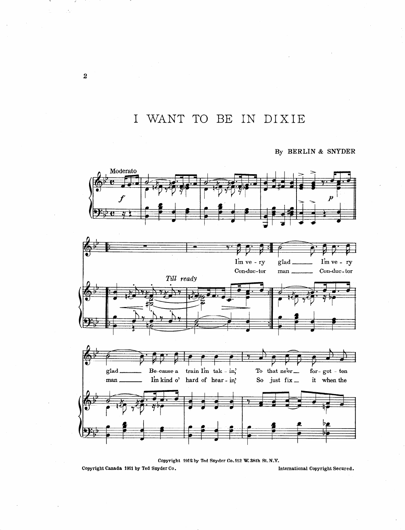I WANT TO BE IN DIXIE

By BERLIN & SNYDER







Copyright 1912 by Ted Snyder Co.112 W. 38th St. N.Y.

Copyright Canada 1911 by Ted Snyder Co.

International Copyright Secured.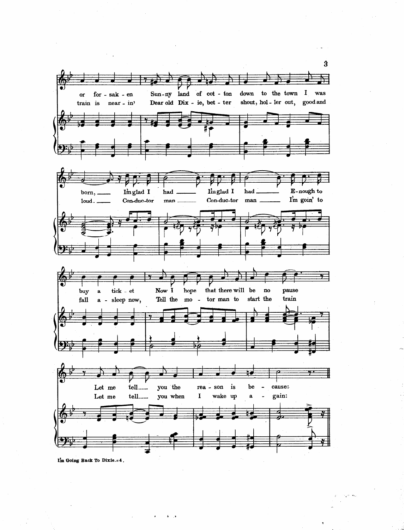

 $\mathcal{L} = \mathcal{L}$ 

 $\sim$ 

 $\left\langle \cdot,\cdot\right\rangle _{A}\left\langle \cdot\right\rangle _{A}\left\langle \cdot\right\rangle _{A}$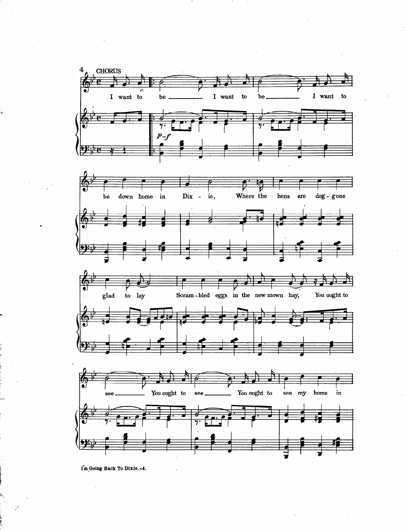

I'm Going Back To Dixie. = 4.

t

.

38